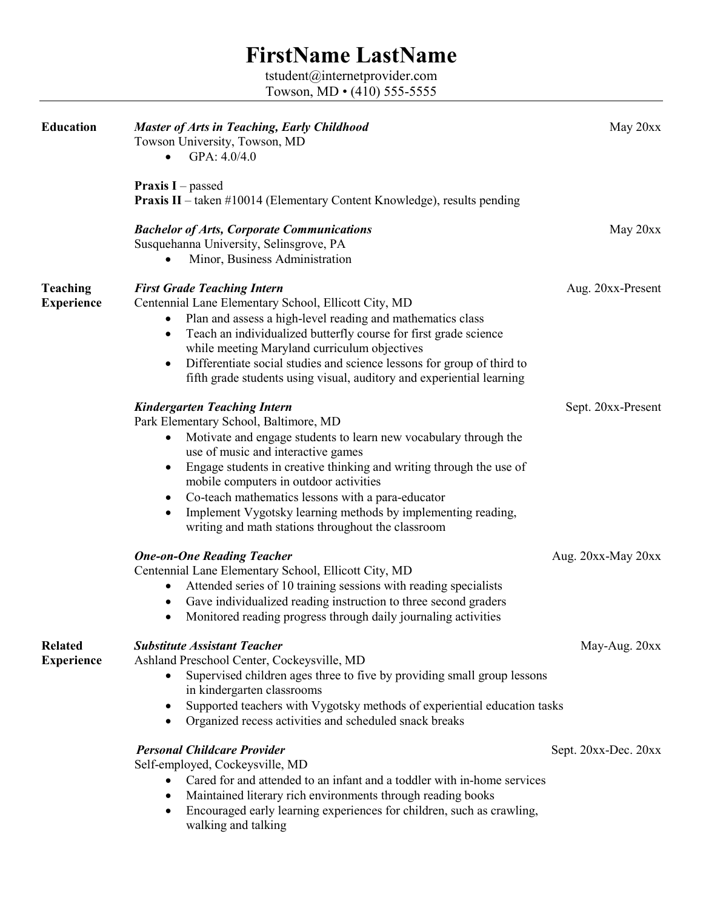## **FirstName LastName**

tstudent@internetprovider.com Towson, MD • (410) 555-5555

| <b>Education</b>                     | <b>Master of Arts in Teaching, Early Childhood</b><br>Towson University, Towson, MD<br>GPA: 4.0/4.0<br>$\bullet$                                                                                                                                                                                                                                                                                                                                                                                                               | May 20xx             |
|--------------------------------------|--------------------------------------------------------------------------------------------------------------------------------------------------------------------------------------------------------------------------------------------------------------------------------------------------------------------------------------------------------------------------------------------------------------------------------------------------------------------------------------------------------------------------------|----------------------|
|                                      | <b>Praxis I</b> – passed<br><b>Praxis II</b> – taken #10014 (Elementary Content Knowledge), results pending                                                                                                                                                                                                                                                                                                                                                                                                                    |                      |
|                                      | <b>Bachelor of Arts, Corporate Communications</b><br>Susquehanna University, Selinsgrove, PA<br>Minor, Business Administration                                                                                                                                                                                                                                                                                                                                                                                                 | May 20xx             |
| <b>Teaching</b><br><b>Experience</b> | <b>First Grade Teaching Intern</b><br>Centennial Lane Elementary School, Ellicott City, MD<br>Plan and assess a high-level reading and mathematics class<br>٠<br>Teach an individualized butterfly course for first grade science<br>$\bullet$<br>while meeting Maryland curriculum objectives<br>Differentiate social studies and science lessons for group of third to<br>$\bullet$<br>fifth grade students using visual, auditory and experiential learning                                                                 | Aug. 20xx-Present    |
|                                      | <b>Kindergarten Teaching Intern</b><br>Park Elementary School, Baltimore, MD<br>Motivate and engage students to learn new vocabulary through the<br>$\bullet$<br>use of music and interactive games<br>Engage students in creative thinking and writing through the use of<br>$\bullet$<br>mobile computers in outdoor activities<br>Co-teach mathematics lessons with a para-educator<br>٠<br>Implement Vygotsky learning methods by implementing reading,<br>$\bullet$<br>writing and math stations throughout the classroom | Sept. 20xx-Present   |
|                                      | <b>One-on-One Reading Teacher</b><br>Centennial Lane Elementary School, Ellicott City, MD<br>Attended series of 10 training sessions with reading specialists<br>٠<br>Gave individualized reading instruction to three second graders<br>$\bullet$<br>Monitored reading progress through daily journaling activities<br>$\bullet$                                                                                                                                                                                              | Aug. 20xx-May 20xx   |
| <b>Related</b><br><b>Experience</b>  | <b>Substitute Assistant Teacher</b><br>Ashland Preschool Center, Cockeysville, MD<br>Supervised children ages three to five by providing small group lessons<br>٠<br>in kindergarten classrooms<br>Supported teachers with Vygotsky methods of experiential education tasks<br>$\bullet$<br>Organized recess activities and scheduled snack breaks<br>$\bullet$                                                                                                                                                                | May-Aug. 20xx        |
|                                      | <b>Personal Childcare Provider</b><br>Self-employed, Cockeysville, MD<br>Cared for and attended to an infant and a toddler with in-home services<br>$\bullet$<br>Maintained literary rich environments through reading books<br>$\bullet$<br>Encouraged early learning experiences for children, such as crawling,<br>$\bullet$<br>walking and talking                                                                                                                                                                         | Sept. 20xx-Dec. 20xx |